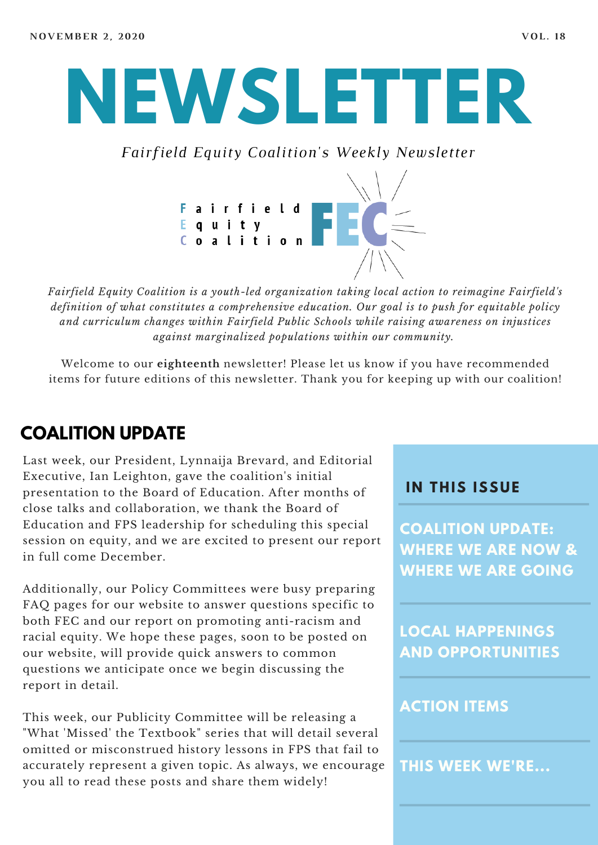# **NEWSLETTER**

*Fairfield Equity Coalition's Weekly Newsletter*



*Fairfield Equity Coalition is a youth-led organization taking local action to reimagine Fairfield's definition of what constitutes a comprehensive education. Our goal is to push for equitable policy and curriculum changes within Fairfield Public Schools while raising awareness on injustices against marginalized populations within our community.*

Welcome to our **eighteenth** newsletter! Please let us know if you have recommended items for future editions of this newsletter. Thank you for keeping up with our coalition!

### **COALITION UPDATE**

Last week, our President, Lynnaija Brevard, and Editorial Executive, Ian Leighton, gave the coalition's initial presentation to the Board of Education. After months of close talks and collaboration, we thank the Board of Education and FPS leadership for scheduling this special session on equity, and we are excited to present our report in full come December.

Additionally, our Policy Committees were busy preparing FAQ pages for our website to answer questions specific to both FEC and our report on promoting anti-racism and racial equity. We hope these pages, soon to be posted on our website, will provide quick answers to common questions we anticipate once we begin discussing the report in detail.

This week, our Publicity Committee will be releasing a "What 'Missed' the Textbook" series that will detail several omitted or misconstrued history lessons in FPS that fail to accurately represent a given topic. As always, we encourage you all to read these posts and share them widely!

#### **I N THIS ISSUE**

**COALITION UPDATE: WHERE WE ARE NOW & WHERE WE ARE GOING**

**LOCAL HAPPENINGS AND OPPORTUNITIES**

#### **ACTION ITEMS**

**THIS WEEK WE'RE...**